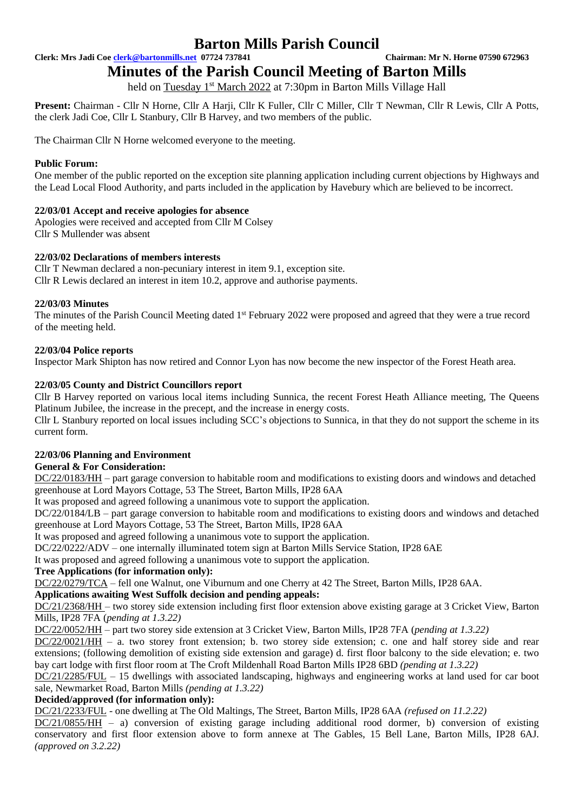# **Barton Mills Parish Council**

**Clerk: Mrs Jadi Coe [clerk@bartonmills.net](mailto:clerk@bartonmills.net) 07724 737841 Chairman: Mr N. Horne 07590 672963**

# **Minutes of the Parish Council Meeting of Barton Mills**

held on <mark>Tuesday 1st March 2022</mark> at 7:30pm in Barton Mills Village Hall

**Present:** Chairman - Cllr N Horne, Cllr A Harji, Cllr K Fuller, Cllr C Miller, Cllr T Newman, Cllr R Lewis, Cllr A Potts, the clerk Jadi Coe, Cllr L Stanbury, Cllr B Harvey, and two members of the public.

The Chairman Cllr N Horne welcomed everyone to the meeting.

# **Public Forum:**

One member of the public reported on the exception site planning application including current objections by Highways and the Lead Local Flood Authority, and parts included in the application by Havebury which are believed to be incorrect.

# **22/03/01 Accept and receive apologies for absence**

Apologies were received and accepted from Cllr M Colsey Cllr S Mullender was absent

# **22/03/02 Declarations of members interests**

Cllr T Newman declared a non-pecuniary interest in item 9.1, exception site. Cllr R Lewis declared an interest in item 10.2, approve and authorise payments.

# **22/03/03 Minutes**

The minutes of the Parish Council Meeting dated 1<sup>st</sup> February 2022 were proposed and agreed that they were a true record of the meeting held.

# **22/03/04 Police reports**

Inspector Mark Shipton has now retired and Connor Lyon has now become the new inspector of the Forest Heath area.

# **22/03/05 County and District Councillors report**

Cllr B Harvey reported on various local items including Sunnica, the recent Forest Heath Alliance meeting, The Queens Platinum Jubilee, the increase in the precept, and the increase in energy costs.

Cllr L Stanbury reported on local issues including SCC's objections to Sunnica, in that they do not support the scheme in its current form.

## **22/03/06 Planning and Environment**

# **General & For Consideration:**

DC/22/0183/HH – part garage conversion to habitable room and modifications to existing doors and windows and detached greenhouse at Lord Mayors Cottage, 53 The Street, Barton Mills, IP28 6AA

It was proposed and agreed following a unanimous vote to support the application.

DC/22/0184/LB – part garage conversion to habitable room and modifications to existing doors and windows and detached greenhouse at Lord Mayors Cottage, 53 The Street, Barton Mills, IP28 6AA

It was proposed and agreed following a unanimous vote to support the application.

DC/22/0222/ADV – one internally illuminated totem sign at Barton Mills Service Station, IP28 6AE

It was proposed and agreed following a unanimous vote to support the application.

## **Tree Applications (for information only):**

DC/22/0279/TCA – fell one Walnut, one Viburnum and one Cherry at 42 The Street, Barton Mills, IP28 6AA.

## **Applications awaiting West Suffolk decision and pending appeals:**

DC/21/2368/HH – two storey side extension including first floor extension above existing garage at 3 Cricket View, Barton Mills, IP28 7FA (*pending at 1.3.22)*

DC/22/0052/HH – part two storey side extension at 3 Cricket View, Barton Mills, IP28 7FA (*pending at 1.3.22)*

DC/22/0021/HH – a. two storey front extension; b. two storey side extension; c. one and half storey side and rear extensions; (following demolition of existing side extension and garage) d. first floor balcony to the side elevation; e. two bay cart lodge with first floor room at The Croft Mildenhall Road Barton Mills IP28 6BD *(pending at 1.3.22)*

DC/21/2285/FUL – 15 dwellings with associated landscaping, highways and engineering works at land used for car boot sale, Newmarket Road, Barton Mills *(pending at 1.3.22)*

## **Decided/approved (for information only):**

DC/21/2233/FUL - one dwelling at The Old Maltings, The Street, Barton Mills, IP28 6AA *(refused on 11.2.22)*

DC/21/0855/HH – a) conversion of existing garage including additional rood dormer, b) conversion of existing conservatory and first floor extension above to form annexe at The Gables, 15 Bell Lane, Barton Mills, IP28 6AJ. *(approved on 3.2.22)*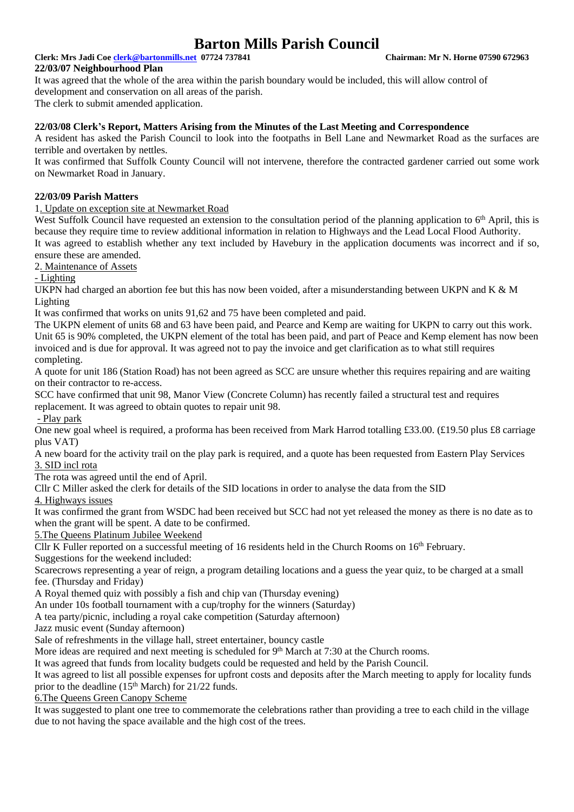# **Barton Mills Parish Council**

# **Clerk: Mrs Jadi Coe [clerk@bartonmills.net](mailto:clerk@bartonmills.net) 07724 737841 Chairman: Mr N. Horne 07590 672963**

## **22/03/07 Neighbourhood Plan**

It was agreed that the whole of the area within the parish boundary would be included, this will allow control of development and conservation on all areas of the parish. The clerk to submit amended application.

**22/03/08 Clerk's Report, Matters Arising from the Minutes of the Last Meeting and Correspondence**

A resident has asked the Parish Council to look into the footpaths in Bell Lane and Newmarket Road as the surfaces are terrible and overtaken by nettles.

It was confirmed that Suffolk County Council will not intervene, therefore the contracted gardener carried out some work on Newmarket Road in January.

## **22/03/09 Parish Matters**

# 1. Update on exception site at Newmarket Road

West Suffolk Council have requested an extension to the consultation period of the planning application to 6<sup>th</sup> April, this is because they require time to review additional information in relation to Highways and the Lead Local Flood Authority. It was agreed to establish whether any text included by Havebury in the application documents was incorrect and if so,

ensure these are amended.

2. Maintenance of Assets

- Lighting

UKPN had charged an abortion fee but this has now been voided, after a misunderstanding between UKPN and K & M Lighting

It was confirmed that works on units 91,62 and 75 have been completed and paid.

The UKPN element of units 68 and 63 have been paid, and Pearce and Kemp are waiting for UKPN to carry out this work. Unit 65 is 90% completed, the UKPN element of the total has been paid, and part of Peace and Kemp element has now been invoiced and is due for approval. It was agreed not to pay the invoice and get clarification as to what still requires completing.

A quote for unit 186 (Station Road) has not been agreed as SCC are unsure whether this requires repairing and are waiting on their contractor to re-access.

SCC have confirmed that unit 98, Manor View (Concrete Column) has recently failed a structural test and requires replacement. It was agreed to obtain quotes to repair unit 98.

- Play park

One new goal wheel is required, a proforma has been received from Mark Harrod totalling £33.00. (£19.50 plus £8 carriage plus VAT)

A new board for the activity trail on the play park is required, and a quote has been requested from Eastern Play Services 3. SID incl rota

The rota was agreed until the end of April.

Cllr C Miller asked the clerk for details of the SID locations in order to analyse the data from the SID

4. Highways issues

It was confirmed the grant from WSDC had been received but SCC had not yet released the money as there is no date as to when the grant will be spent. A date to be confirmed.

5.The Queens Platinum Jubilee Weekend

Cllr K Fuller reported on a successful meeting of 16 residents held in the Church Rooms on 16<sup>th</sup> February.

Suggestions for the weekend included:

Scarecrows representing a year of reign, a program detailing locations and a guess the year quiz, to be charged at a small fee. (Thursday and Friday)

A Royal themed quiz with possibly a fish and chip van (Thursday evening)

An under 10s football tournament with a cup/trophy for the winners (Saturday)

A tea party/picnic, including a royal cake competition (Saturday afternoon)

Jazz music event (Sunday afternoon)

Sale of refreshments in the village hall, street entertainer, bouncy castle

More ideas are required and next meeting is scheduled for 9<sup>th</sup> March at 7:30 at the Church rooms.

It was agreed that funds from locality budgets could be requested and held by the Parish Council.

It was agreed to list all possible expenses for upfront costs and deposits after the March meeting to apply for locality funds prior to the deadline (15<sup>th</sup> March) for 21/22 funds.

6.The Queens Green Canopy Scheme

It was suggested to plant one tree to commemorate the celebrations rather than providing a tree to each child in the village due to not having the space available and the high cost of the trees.